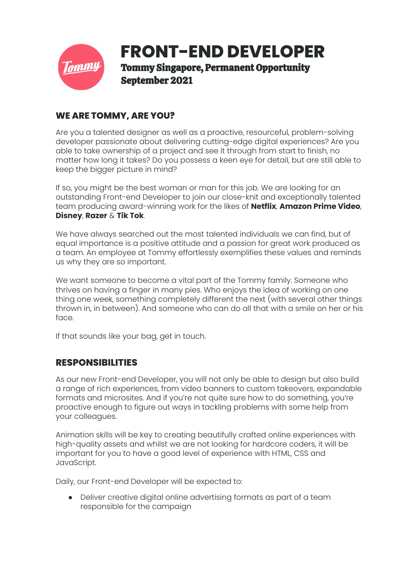

# **WE ARE TOMMY, ARE YOU?**

Are you a talented designer as well as a proactive, resourceful, problem-solving developer passionate about delivering cutting-edge digital experiences? Are you able to take ownership of a project and see it through from start to finish, no matter how long it takes? Do you possess a keen eye for detail, but are still able to keep the bigger picture in mind?

If so, you might be the best woman or man for this job. We are looking for an outstanding Front-end Developer to join our close-knit and exceptionally talented team producing award-winning work for the likes of **Netflix**, **Amazon Prime Video**, **Disney**, **Razer** & **Tik Tok**.

We have always searched out the most talented individuals we can find, but of equal importance is a positive attitude and a passion for great work produced as a team. An employee at Tommy effortlessly exemplifies these values and reminds us why they are so important.

We want someone to become a vital part of the Tommy family. Someone who thrives on having a finger in many pies. Who enjoys the idea of working on one thing one week, something completely different the next (with several other things thrown in, in between). And someone who can do all that with a smile on her or his face.

If that sounds like your bag, get in touch.

### **RESPONSIBILITIES**

As our new Front-end Developer, you will not only be able to design but also build a range of rich experiences, from video banners to custom takeovers, expandable formats and microsites. And if you're not quite sure how to do something, you're proactive enough to figure out ways in tackling problems with some help from your colleagues.

Animation skills will be key to creating beautifully crafted online experiences with high-quality assets and whilst we are not looking for hardcore coders, it will be important for you to have a good level of experience with HTML, CSS and JavaScript.

Daily, our Front-end Developer will be expected to:

● Deliver creative digital online advertising formats as part of a team responsible for the campaign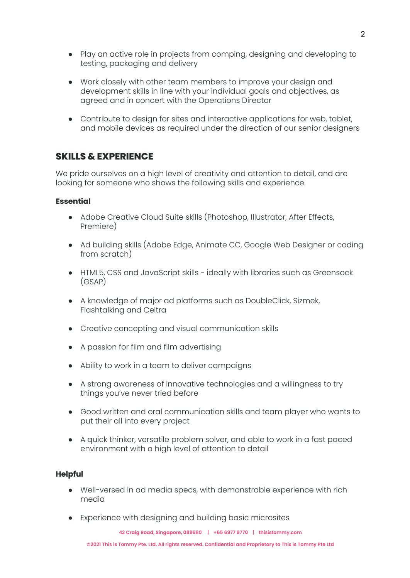- Play an active role in projects from comping, designing and developing to testing, packaging and delivery
- Work closely with other team members to improve your design and development skills in line with your individual goals and objectives, as agreed and in concert with the Operations Director
- Contribute to design for sites and interactive applications for web, tablet, and mobile devices as required under the direction of our senior designers

## **SKILLS & EXPERIENCE**

We pride ourselves on a high level of creativity and attention to detail, and are looking for someone who shows the following skills and experience.

#### **Essential**

- Adobe Creative Cloud Suite skills (Photoshop, Illustrator, After Effects, Premiere)
- Ad building skills (Adobe Edge, Animate CC, Google Web Designer or coding from scratch)
- HTML5, CSS and JavaScript skills ideally with libraries such as Greensock (GSAP)
- A knowledge of major ad platforms such as DoubleClick, Sizmek, Flashtalking and Celtra
- Creative concepting and visual communication skills
- A passion for film and film advertising
- Ability to work in a team to deliver campaigns
- A strong awareness of innovative technologies and a willingness to try things you've never tried before
- Good written and oral communication skills and team player who wants to put their all into every project
- A quick thinker, versatile problem solver, and able to work in a fast paced environment with a high level of attention to detail

#### **Helpful**

- Well-versed in ad media specs, with demonstrable experience with rich media
- Experience with designing and building basic microsites

**42 Craig Road, Singapore, 089680 | +65 6977 9770 | thisistommy.com**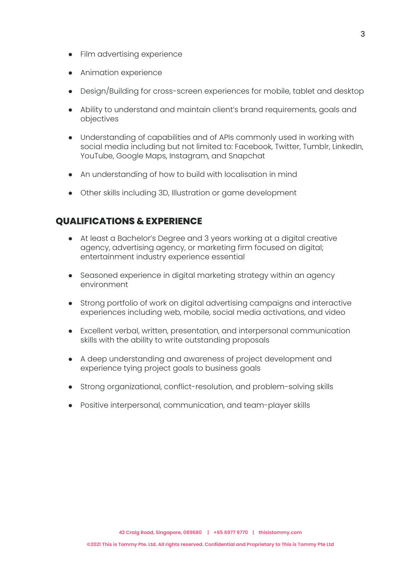- Film advertising experience
- Animation experience
- Design/Building for cross-screen experiences for mobile, tablet and desktop
- Ability to understand and maintain client's brand requirements, goals and objectives
- Understanding of capabilities and of APIs commonly used in working with social media including but not limited to: Facebook, Twitter, Tumblr, LinkedIn, YouTube, Google Maps, Instagram, and Snapchat
- An understanding of how to build with localisation in mind
- Other skills including 3D, Illustration or game development

### **QUALIFICATIONS & EXPERIENCE**

- At least a Bachelor's Degree and 3 years working at a digital creative agency, advertising agency, or marketing firm focused on digital; entertainment industry experience essential
- Seasoned experience in digital marketing strategy within an agency environment
- Strong portfolio of work on digital advertising campaigns and interactive experiences including web, mobile, social media activations, and video
- Excellent verbal, written, presentation, and interpersonal communication skills with the ability to write outstanding proposals
- A deep understanding and awareness of project development and experience tying project goals to business goals
- Strong organizational, conflict-resolution, and problem-solving skills
- Positive interpersonal, communication, and team-player skills